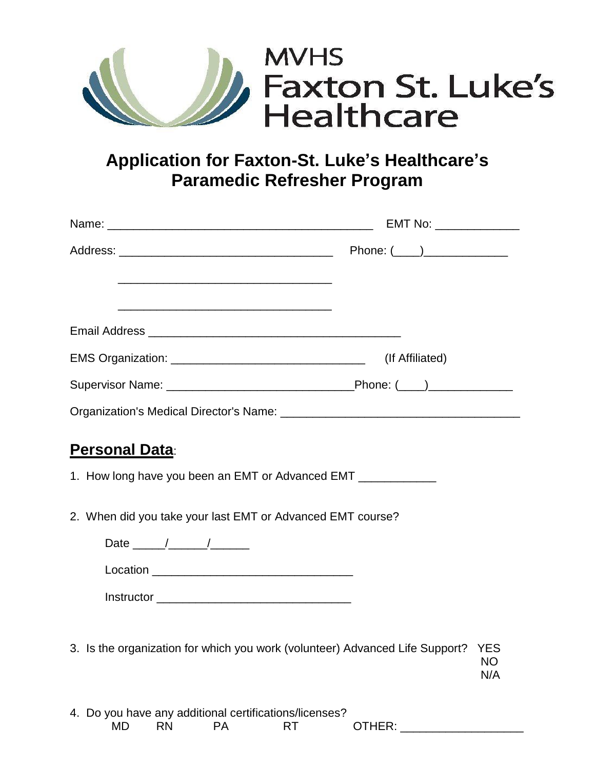

## **Application for Faxton-St. Luke's Healthcare's Paramedic Refresher Program**

|                                                                                                                                                                                                                                                                                                                                                                                                                             | (If Affiliated)         |
|-----------------------------------------------------------------------------------------------------------------------------------------------------------------------------------------------------------------------------------------------------------------------------------------------------------------------------------------------------------------------------------------------------------------------------|-------------------------|
|                                                                                                                                                                                                                                                                                                                                                                                                                             |                         |
|                                                                                                                                                                                                                                                                                                                                                                                                                             |                         |
| <b>Personal Data:</b>                                                                                                                                                                                                                                                                                                                                                                                                       |                         |
| 1. How long have you been an EMT or Advanced EMT _____________                                                                                                                                                                                                                                                                                                                                                              |                         |
| 2. When did you take your last EMT or Advanced EMT course?                                                                                                                                                                                                                                                                                                                                                                  |                         |
| Date $\frac{1}{\sqrt{1-\frac{1}{2}}}\frac{1}{\sqrt{1-\frac{1}{2}}}\frac{1}{\sqrt{1-\frac{1}{2}}}\frac{1}{\sqrt{1-\frac{1}{2}}}\frac{1}{\sqrt{1-\frac{1}{2}}}\frac{1}{\sqrt{1-\frac{1}{2}}}\frac{1}{\sqrt{1-\frac{1}{2}}}\frac{1}{\sqrt{1-\frac{1}{2}}}\frac{1}{\sqrt{1-\frac{1}{2}}}\frac{1}{\sqrt{1-\frac{1}{2}}}\frac{1}{\sqrt{1-\frac{1}{2}}}\frac{1}{\sqrt{1-\frac{1}{2}}}\frac{1}{\sqrt{1-\frac{1}{2}}}\frac{1}{\sqrt$ |                         |
|                                                                                                                                                                                                                                                                                                                                                                                                                             |                         |
|                                                                                                                                                                                                                                                                                                                                                                                                                             |                         |
|                                                                                                                                                                                                                                                                                                                                                                                                                             |                         |
| 3. Is the organization for which you work (volunteer) Advanced Life Support?                                                                                                                                                                                                                                                                                                                                                | <b>YES</b><br>NΟ<br>N/A |
| 4. Do you have any additional certifications/licenses?                                                                                                                                                                                                                                                                                                                                                                      |                         |

MD RN PA RT OTHER: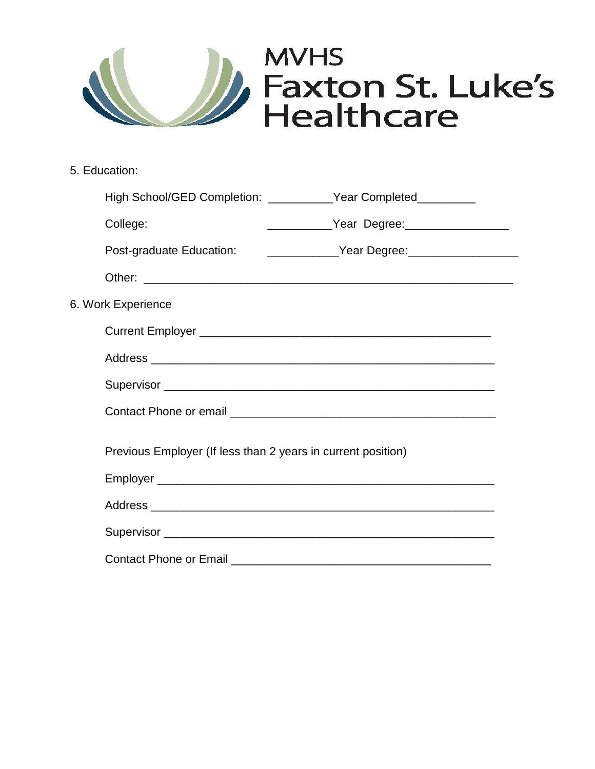

5. Education:

| High School/GED Completion: ___________Year Completed_________                   |  |                                                  |  |
|----------------------------------------------------------------------------------|--|--------------------------------------------------|--|
| College:                                                                         |  | ______________Year Degree: _____________________ |  |
| Post-graduate Education: ________________Year Degree: __________________________ |  |                                                  |  |
|                                                                                  |  |                                                  |  |
| 6. Work Experience                                                               |  |                                                  |  |
|                                                                                  |  |                                                  |  |
|                                                                                  |  |                                                  |  |
|                                                                                  |  |                                                  |  |
|                                                                                  |  |                                                  |  |
| Previous Employer (If less than 2 years in current position)                     |  |                                                  |  |
|                                                                                  |  |                                                  |  |
|                                                                                  |  |                                                  |  |
|                                                                                  |  |                                                  |  |
| Contact Phone or Email <b>Contact Phone of Email</b>                             |  |                                                  |  |